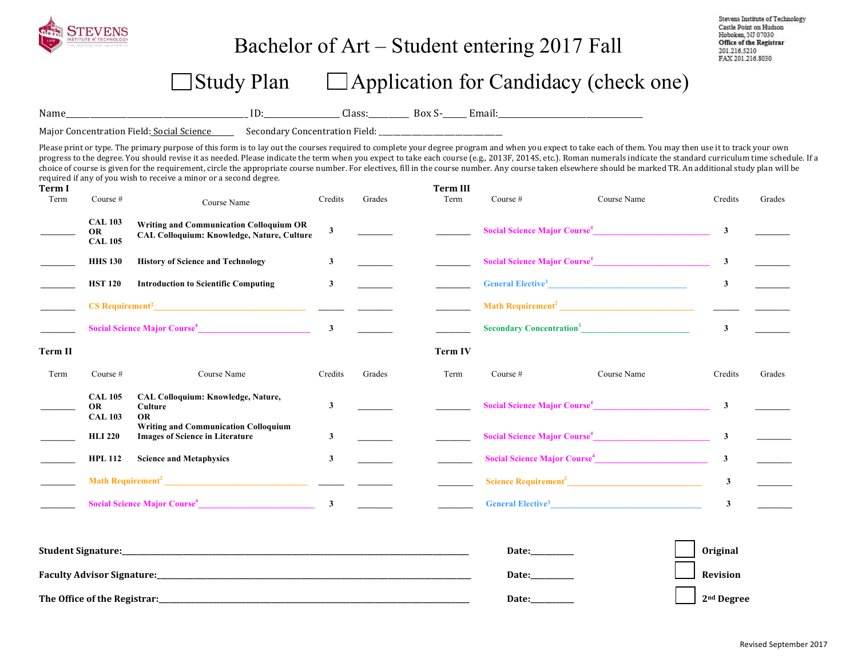

### Bachelor of Art – Student entering 2017 Fall

Stevens Institute of Technology Castle Point on Hudson Hoboken, NJ 07030 Office of the Registrar 201.216.5210 FAX 201.216.8030

## $\Box$  Study Plan  $\Box$  Application for Candidacy (check one)

Name\_\_\_\_\_\_\_\_\_\_\_\_\_\_\_\_\_\_\_\_\_\_\_\_\_\_\_\_\_\_\_\_\_\_\_\_\_\_\_\_\_\_\_\_\_ ID:\_\_\_\_\_\_\_\_\_\_\_\_\_\_\_\_\_\_\_ Class:\_\_\_\_\_\_\_\_\_\_ Box S-\_\_\_\_\_\_ Email:\_\_\_\_\_\_\_\_\_\_\_\_\_\_\_\_\_\_\_\_\_\_\_\_\_\_\_\_\_\_\_\_\_\_\_\_ 

Major Concentration Field: Social Science Secondary Concentration Field: \_\_\_\_\_\_\_\_\_\_\_\_\_\_

Please print or type. The primary purpose of this form is to lay out the courses required to complete your degree program and when you expect to take each of them. You may then use it to track your own progress to the degree. You should revise it as needed. Please indicate the term when you expect to take each course (e.g., 2013F, 2014S, etc.). Roman numerals indicate the standard curriculum time schedule. If a choice of course is given for the requirement, circle the appropriate course number. For electives, fill in the course number. Any course taken elsewhere should be marked TR. An additional study plan will be required if any of you wish to receive a minor or a second degree.

| <b>Term I</b><br>Term | Course #                                                                                                | Course Name                                                                                                                                                                                                                              | Credits      | Grades                                | <b>Term III</b><br>Term | Course #                                                                                                                                                                                                                                          | Course Name                              | Credits                | Grades |
|-----------------------|---------------------------------------------------------------------------------------------------------|------------------------------------------------------------------------------------------------------------------------------------------------------------------------------------------------------------------------------------------|--------------|---------------------------------------|-------------------------|---------------------------------------------------------------------------------------------------------------------------------------------------------------------------------------------------------------------------------------------------|------------------------------------------|------------------------|--------|
|                       | <b>CAL 103</b><br><b>OR</b><br><b>CAL 105</b>                                                           | <b>Writing and Communication Colloquium OR</b><br><b>CAL Colloquium: Knowledge, Nature, Culture</b>                                                                                                                                      | $\mathbf{3}$ |                                       |                         | Social Science Major Course <sup>4</sup>                                                                                                                                                                                                          | $\mathbf{3}$                             |                        |        |
|                       | <b>HHS 130</b>                                                                                          | <b>History of Science and Technology</b>                                                                                                                                                                                                 | $\mathbf{3}$ |                                       |                         | Social Science Major Course <sup>4</sup>                                                                                                                                                                                                          | $\mathbf{3}$                             |                        |        |
|                       | <b>HST 120</b>                                                                                          | <b>Introduction to Scientific Computing</b>                                                                                                                                                                                              | 3            |                                       |                         | <b>General Elective<sup>3</sup></b> <u>Contract of</u> the contract of the contract of the contract of the contract of the contract of the contract of the contract of the contract of the contract of the contract of the contract of the contra | $\mathbf{3}$                             |                        |        |
|                       |                                                                                                         |                                                                                                                                                                                                                                          |              |                                       |                         |                                                                                                                                                                                                                                                   |                                          |                        |        |
|                       | Social Science Major Course <sup>4</sup> 2008 2012 2022 2023                                            |                                                                                                                                                                                                                                          |              | <u> a shekara ta 1999 a shekara t</u> |                         | Secondary Concentration <sup>3</sup>                                                                                                                                                                                                              |                                          | $\mathbf{3}$           |        |
| Term II               |                                                                                                         |                                                                                                                                                                                                                                          |              |                                       | Term IV                 |                                                                                                                                                                                                                                                   |                                          |                        |        |
| Term                  | Course $#$                                                                                              | Course Name                                                                                                                                                                                                                              | Credits      | Grades                                | Term                    | Course $#$                                                                                                                                                                                                                                        | Course Name                              | Credits                | Grades |
|                       | <b>CAL 105</b><br><b>OR</b><br><b>CAL 103</b>                                                           | <b>CAL Colloquium: Knowledge, Nature,</b><br>Culture<br><b>OR</b>                                                                                                                                                                        | $\mathbf{3}$ |                                       |                         |                                                                                                                                                                                                                                                   | Social Science Major Course <sup>4</sup> | $\mathbf{3}$           |        |
|                       | <b>Writing and Communication Colloquium</b><br><b>Images of Science in Literature</b><br><b>HLI 220</b> |                                                                                                                                                                                                                                          | 3            |                                       |                         | Social Science Major Course <sup>4</sup>                                                                                                                                                                                                          | $\mathbf{3}$                             |                        |        |
|                       | <b>Science and Metaphysics</b><br><b>HPL 112</b>                                                        |                                                                                                                                                                                                                                          | $\mathbf{3}$ |                                       |                         | Social Science Major Course <sup>4</sup>                                                                                                                                                                                                          | $\mathbf{3}$                             |                        |        |
|                       |                                                                                                         |                                                                                                                                                                                                                                          |              |                                       |                         |                                                                                                                                                                                                                                                   |                                          | $\mathbf{3}$           |        |
|                       |                                                                                                         | Social Science Major Course <sup>4</sup> 3 3 2 2 2 2 2 2 2 3 2 2 2 2 2 2 3 2 2 2 2 3 2 2 2 2 3 2 2 2 2 3 2 2 2 2 3 2 2 2 2 3 2 2 2 2 3 2 2 2 2 3 2 2 2 2 3 2 2 2 2 3 2 2 2 2 3 2 2 2 2 3 2 2 2 2 3 2 2 2 3 2 3 2 2 2 3 2 3 2 2 3 2 3 2 3 |              |                                       |                         |                                                                                                                                                                                                                                                   | General Elective <sup>3</sup>            | $\mathbf{3}$           |        |
|                       |                                                                                                         |                                                                                                                                                                                                                                          |              |                                       |                         | Date: $\frac{1}{2}$                                                                                                                                                                                                                               |                                          | <b>Original</b>        |        |
|                       |                                                                                                         |                                                                                                                                                                                                                                          |              |                                       |                         |                                                                                                                                                                                                                                                   | Date:__________                          |                        |        |
|                       | The Office of the Registrar:                                                                            |                                                                                                                                                                                                                                          |              |                                       |                         | Date:                                                                                                                                                                                                                                             |                                          | 2 <sup>nd</sup> Degree |        |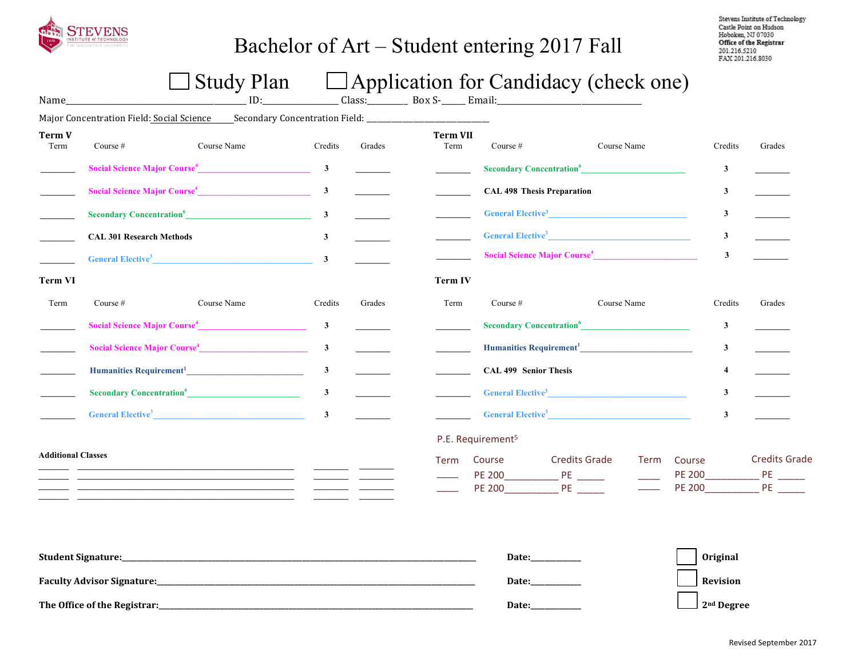

## Bachelor of Art – Student entering 2017 Fall

Stevens Institute of Technology Castle Point on Hudson Hoboken, NJ 07030 Office of the Registrar 201.216.5210 FAX 201.216.8030

# $\Box$  Study Plan  $\Box$  Application for Candidacy (check one)

| Name                      |                                 | $\Box$ $\cup$ $\alpha$ $\alpha$ $\gamma$ $\alpha$ $\alpha$                                                    |              |                          |                         |                                          | $\Box$ Application for Candidate (Check One) |             |          |              |                                   |
|---------------------------|---------------------------------|---------------------------------------------------------------------------------------------------------------|--------------|--------------------------|-------------------------|------------------------------------------|----------------------------------------------|-------------|----------|--------------|-----------------------------------|
|                           |                                 | Major Concentration Field: Social Science _____ Secondary Concentration Field: ______________________________ |              |                          |                         |                                          |                                              |             |          |              |                                   |
| Term V<br>Term            | Course #                        | Course Name                                                                                                   | Credits      | Grades                   | <b>Term VII</b><br>Term | Course $#$                               |                                              | Course Name |          | Credits      | Grades                            |
|                           |                                 | Social Science Major Course <sup>4</sup> 3                                                                    |              | $\overline{\phantom{a}}$ |                         |                                          | Secondary Concentration <sup>6</sup>         |             |          | $\mathbf{3}$ |                                   |
|                           |                                 | Social Science Major Course <sup>4</sup>                                                                      | $\mathbf{3}$ |                          |                         |                                          | <b>CAL 498 Thesis Preparation</b>            |             |          | 3            |                                   |
|                           |                                 | Secondary Concentration <sup>6</sup>                                                                          | $\mathbf{3}$ |                          |                         |                                          | General Elective <sup>3</sup>                |             |          | $\mathbf{3}$ |                                   |
|                           | <b>CAL 301 Research Methods</b> |                                                                                                               | $\mathbf{3}$ |                          |                         |                                          | General Elective <sup>3</sup>                |             |          | $\mathbf{3}$ | $\mathbb{R}$                      |
|                           |                                 | General Elective <sup>3</sup>                                                                                 | $\mathbf{3}$ |                          |                         |                                          | Social Science Major Course <sup>4</sup>     |             |          | $\mathbf{3}$ |                                   |
| Term VI                   |                                 |                                                                                                               |              |                          | <b>Term IV</b>          |                                          |                                              |             |          |              |                                   |
| Term                      | Course $#$                      | Course Name                                                                                                   | Credits      | Grades                   | Term                    | Course $#$                               |                                              | Course Name |          | Credits      | Grades                            |
|                           |                                 | Social Science Major Course <sup>4</sup>                                                                      | $\mathbf{3}$ |                          |                         |                                          | Secondary Concentration <sup>6</sup>         |             |          | 3            |                                   |
|                           |                                 | Social Science Major Course <sup>4</sup>                                                                      | $\mathbf{3}$ |                          |                         |                                          |                                              |             |          | $\mathbf{3}$ |                                   |
|                           |                                 | Humanities Requirement <sup>1</sup>                                                                           | $\mathbf{3}$ |                          |                         | <b>CAL 499 Senior Thesis</b>             |                                              |             |          | 4            |                                   |
|                           |                                 | <b>Secondary Concentration</b> <sup>6</sup>                                                                   | $\mathbf{3}$ |                          |                         |                                          | General Elective <sup>3</sup>                |             |          | $\mathbf{3}$ |                                   |
|                           |                                 | General Elective <sup>3</sup>                                                                                 | $\mathbf{3}$ |                          |                         |                                          | General Elective <sup>3</sup>                |             |          | $\mathbf{3}$ |                                   |
|                           |                                 |                                                                                                               |              |                          |                         | P.E. Requirement <sup>5</sup>            |                                              |             |          |              |                                   |
| <b>Additional Classes</b> |                                 |                                                                                                               |              |                          | Term                    | Course<br><b>PE 200</b><br><b>PE 200</b> | <b>Credits Grade</b><br>PE                   | Term        | Course   |              | <b>Credits Grade</b><br>PE 200 PE |
|                           |                                 |                                                                                                               |              |                          |                         |                                          | Date:                                        |             |          | Original     |                                   |
|                           |                                 |                                                                                                               |              |                          |                         | Date:                                    |                                              |             | Revision |              |                                   |

**The Office of the Registrar:\_\_\_\_\_\_\_\_\_\_\_\_\_\_\_\_\_\_\_\_\_\_\_\_\_\_\_\_\_\_\_\_\_\_\_\_\_\_\_\_\_\_\_\_\_\_\_\_\_\_\_\_\_\_\_\_\_\_\_\_\_\_\_\_\_\_\_\_\_\_\_\_\_\_\_\_\_\_\_\_\_\_\_\_\_\_\_ Date:\_\_\_\_\_\_\_\_\_\_\_\_\_\_ 2nd Degree**